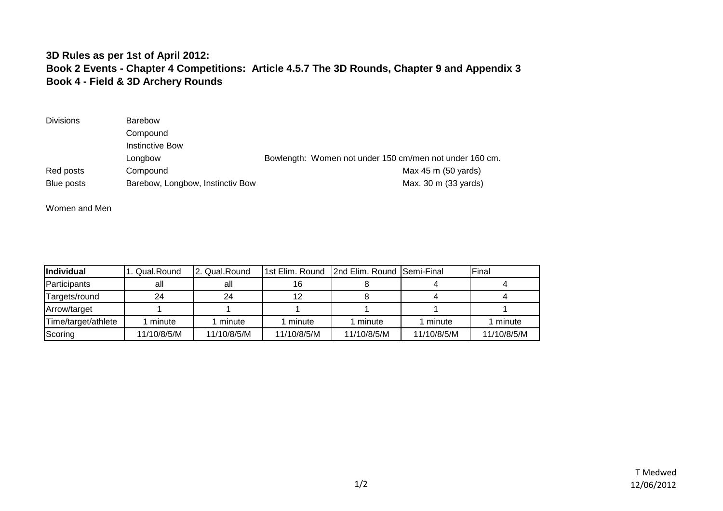## **3D Rules as per 1st of April 2012: Book 2 Events - Chapter 4 Competitions: Article 4.5.7 The 3D Rounds, Chapter 9 and Appendix 3 Book 4 - Field & 3D Archery Rounds**

| <b>Divisions</b> | Barebow                          |                                                         |
|------------------|----------------------------------|---------------------------------------------------------|
|                  | Compound                         |                                                         |
|                  | Instinctive Bow                  |                                                         |
|                  | Longbow                          | Bowlength: Women not under 150 cm/men not under 160 cm. |
| Red posts        | Compound                         | Max 45 m (50 yards)                                     |
| Blue posts       | Barebow, Longbow, Instinctiv Bow | Max. 30 m (33 yards)                                    |

Women and Men

| <i><b>Individual</b></i> | 1. Qual.Round | . Qual.Round | 1st Elim. Round | 2nd Elim. Round Semi-Final |             | Final       |
|--------------------------|---------------|--------------|-----------------|----------------------------|-------------|-------------|
| Participants             | all           | all          | 16              |                            |             |             |
| Targets/round            | 24            | 24           | 12              |                            |             |             |
| Arrow/target             |               |              |                 |                            |             |             |
| Time/target/athlete      | minute        | minute       | 1 minute        | minute                     | minute      | minute      |
| Scoring                  | 11/10/8/5/M   | 11/10/8/5/M  | 11/10/8/5/M     | 11/10/8/5/M                | 11/10/8/5/M | 11/10/8/5/M |